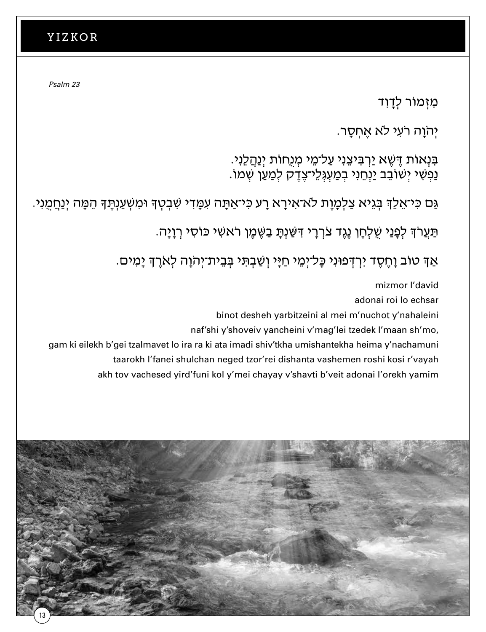*Psalm 23* **Psalm 23**

מִוָּר לְדַוִד

יְהֹוַה רֹעִי לֹא אֱחְסָר.

בִּנְאוֹת דֶּשֶׁא יַרְבִּיצֵנִי עַל־מֵי מְנֻחוֹת יְנַהֲלֵנִי. ַנְפְשִׁי יְשׁוֹבֵב יַנְחֵנִי בְּמַעְגְּלֵי־צֶדֶק לְמַעַן שְׁמוֹ.

ַ גַּם כִּי־אֵלֵךְ בִּגֵיא צַלְמָוֶת לֹא־אִירָא רָע כִּי־אַתָּה עִמָּדִי שִׁבְטִךְ וּמִשְׁעַנְתֶּךָ הֵמָּה יְנַחֲמָנִי

ּ תַּעֲרֹךְ לְפָנַי שֻׁלְחָן נֶגֶד צֹרְרָי דִּשַּׁנְתָּ בַשֶּׁמֵן רֹאשִׁי כּוֹסִי רְוַיַּה.

ּ אַךְ טוֹב וָחֶסֶד יִרְדְּפוּנִי כָּל־יִמֵי חַיַּי וְשַׁבְתִּי בִּבֵית־יִהוֹוָה לְאֹרֵךְ יָמִים.

mizmor l'david adonai roi lo echsar binot desheh yarbitzeini al mei m'nuchot y'nahaleini naf'shi y'shoveiv yancheini v'mag'lei tzedek l'maan sh'mo, gam ki eilekh b'gei tzalmavet lo ira ra ki ata imadi shiv'tkha umishantekha heima y'nachamuni taarokh l'fanei shulchan neged tzor'rei dishanta vashemen roshi kosi r'vayah taarokh l'fanei shulchan neged tzor'rei dishanta vashemen roshi kosi r'vayah  $\mathbf{r}$ naf'shi y'shovei gam ki eilekh b'gei tzalmavet lo ira ra ki ata imadi shiv'tkha umishantekha heima y'r

akh tov vachesed yird'funi kol y'mei chayay v'shavti b'veit adonai l'orekh yamim akh tov vachesed yird'funi kol y'mei chayay v'shavti b'veit adonai l'orekh yamim

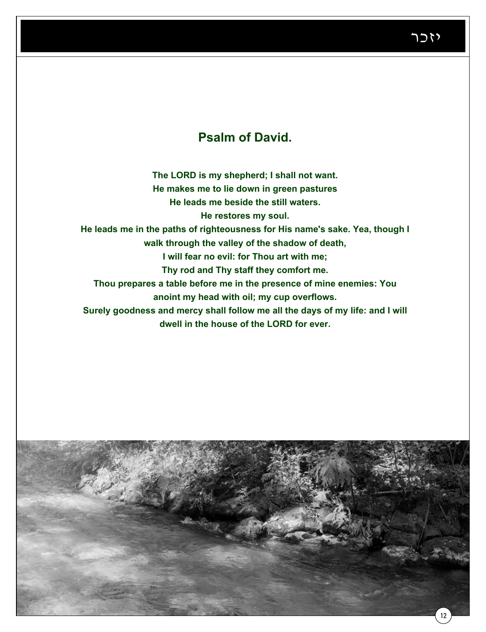### **Psalm of David.**

**The LORD is my shepherd; I shall not want. He makes me to lie down in green pastures He leads me beside the still waters. He restores my soul. He leads me in the paths of righteousness for His name's sake. Yea, though I walk through the valley of the shadow of death, I will fear no evil: for Thou art with me; Thy rod and Thy staff they comfort me. Thou prepares a table before me in the presence of mine enemies: You anoint my head with oil; my cup overflows. Surely goodness and mercy shall follow me all the days of my life: and I will** 

**dwell in the house of the LORD for ever.**

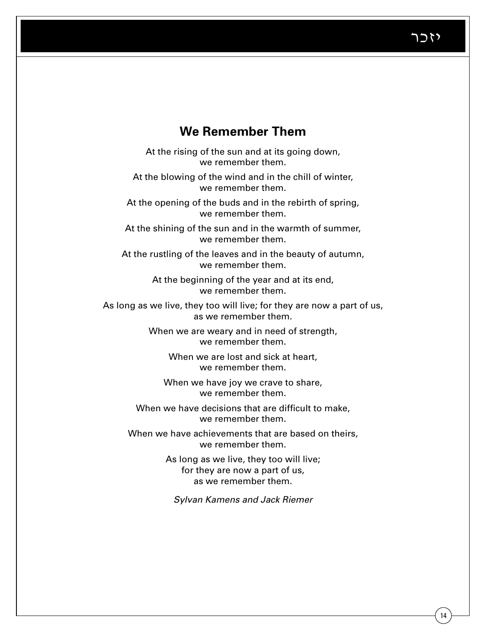14

### **We Remember Them**

At the rising of the sun and at its going down, we remember them.

At the blowing of the wind and in the chill of winter, we remember them.

At the opening of the buds and in the rebirth of spring, we remember them.

At the shining of the sun and in the warmth of summer, we remember them.

At the rustling of the leaves and in the beauty of autumn, we remember them.

> At the beginning of the year and at its end, we remember them.

As long as we live, they too will live; for they are now a part of us, as we remember them.

> When we are weary and in need of strength, we remember them.

> > When we are lost and sick at heart, we remember them.

When we have joy we crave to share, we remember them.

When we have decisions that are difficult to make, we remember them.

When we have achievements that are based on theirs, we remember them.

> As long as we live, they too will live; for they are now a part of us, as we remember them.

*Sylvan Kamens and Jack Riemer*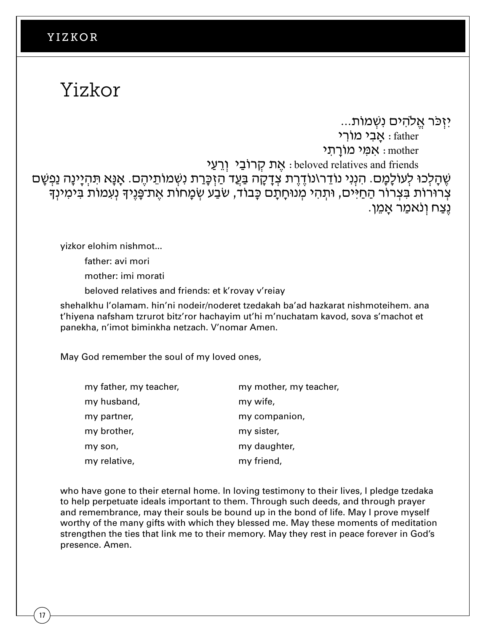# Yizkor

יִזְכֹּר אֱלֹהֵים נִשְׁמוֹת...

 $\mathsf{R}$  : אָבי מוֹרי  $\mathsf{father}$ י אָמָי מוֹרַתְי $\cdot$  mother י אֶת קְרוֹבֵי וְרַעַי seloved relatives and friends ּשֶׁ הָלְכוּ לְעוֹלָמָם. הִנְנִי נוֹדֵר\נוֹדֶרֶת צְדָקָה בַּעֲד הַזְּכָּרַת נִשְׁמוֹתֵיהֶם. אָנָּא תִּהְיָינָה נַפְשָׁם ְ צְרוּרוֹת בִּצְרוֹר הַחַיִּים, וּתְהִי מְנוּחָתָם כָּבוֹד, שֹׂבַע שְׂמָחוֹת אֱת־פָּנֵיךָ נְעָמוֹת בִּימִינְךָ ְנֵצַח וְנֹאמֵר אֲמֵן.

yizkor elohim nishmot... yizkor elohim nishmot...

father: avi mori father: avi mori

mother: imi morati mother: imi morati

beloved relatives and friends: et k'rovay v'reiay beloved relatives and friends: et k'rovay v'reiay

shehalkhu l'olamam. hin'ni nodeir/noderet tzedakah ba'ad hazkarat nishmoteihem. ana thehalkhu l'olamam. hin'ni nodeir/noderet tzedakah ba'ad hazkarat nishmoteihem. ana shenaikhu i olamani. mil ili hodeli/hoderet tzedakan ba ad hazkarat hishmotemeni. ana<br>t'hiyena nafsham tzrurot bitz'ror hachayim ut'hi m'nuchatam kavod, sova s'machot et panekha, n'imot biminkha netzach. V'nomar Amen. biminkha netzach. V'nomar Amen.

May God remember the soul of my loved ones,  $M_{\rm H}$  God remember the soul of my loved ones,  $\sim$ 

| my father, my teacher, | my mother, my teacher, |
|------------------------|------------------------|
| my husband,            | my wife,               |
| my partner,            | my companion,          |
| my brother,            | my sister,             |
| my son,                | my daughter,           |
| my relative,           | my friend,             |

who have gone to their eternal home. In loving testimony to their lives, I pledge tzedaka to help perpetuate ideals important to them. Through such deeds, and through prayer and remembrance, may their souls be bound up in the bond of life. May I prove myself worthy of the many gifts with which they blessed me. May these moments of meditation strengthen the ties that link me to their memory. May they rest in peace forever in God's presence. Amen.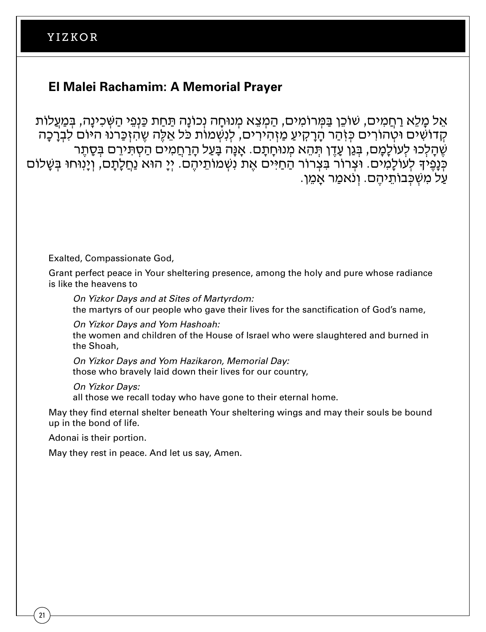#### **El Malei Rachamim: A Memorial Prayer El Malei Rachamim: A Memorial Prayer**

אֵל מַלֵא רַחֲמִים, שׁוֹכֵן בַּמְּרוֹמִים, הַמְצֵא מְנוּחַה נְכוֹנַה תַּחַת כַּנְפֵי הַשְּׁכְינַה, בִּמַעֲלוֹת קִדוֹשִׁים וּטְהוֹרִים כִּזְהַר הַרַקִיעַ מַזְהִירִים, לִנְשָׁמוֹת כֹּל אֱלֶה שֶהָזְכֲרנוּ היּוֹם לִבְרַכָּה ְשֶׁהַלְכוּ לְעוֹלָמֶם, בְּגֵן עֲדֶן תִּהֶא מְנוּחַתַם. אֲנַּה בָּעֲל הַרַחֲמִים הַסְתִּירֶם בְּסֶתֶר ּ כְּנָפֵיךָ לְעוֹלָמִים. וּצְרוֹר בִּצְרוֹר הַחַיִּים אֶת נִשְׁמוֹתֵיהֶם. יְיָ הוּא נַחֲלָתַם, וְיָנִוּחוּ בְּשָׁלוֹם . על מִשִׁכּבוֹתיהם. וְנֹאמֵר אָמֵן

Exalted, Compassionate God,

Grant perfect peace in Your sheltering presence, among the holy and pure whose radiance is like the heavens to *On Yizkor Days and at Sites of Martyrdom*:

*On Yizkor Days and at Sites of Martyrdom:* the martyrs of our people who gave their lives for the sanctification of God's name,

*On Yizkor Days and Yom Hashoah: On Yizkor Days and Yom Hashoah*: on fizkor *Days and Tom Hashoan.*<br>the women and children of the House of Israel who were slaughtered and burned in the Shoah, Shoah,

*On Yizkor Days and Yom Hazikaron, Memorial Day:* those who bravely laid down their lives for our country, *On Yizkor Days and Yom Hazikaron, Memorial Day*: those who bravely laid down their lives for our country,

*On Yizkor Days:*

all those we recall today who have gone to their eternal home.

an these the recent tear, the here gone to their sternal home.<br>May they find eternal shelter beneath Your sheltering wings and may their souls be bound up in the bond of life. ay they imd eternal shelter beheath four sheltering wings and h<br>Un the bond of life

Adonai is their portion. May the shelt eternal shelter beneath Your sheltering wings and may the souls be bound up in the bound up in the bound up in the souls be bound up in the bound up in the bound up in the bound up in the bound up in the boun

May they rest in peace. And let us say, Amen.